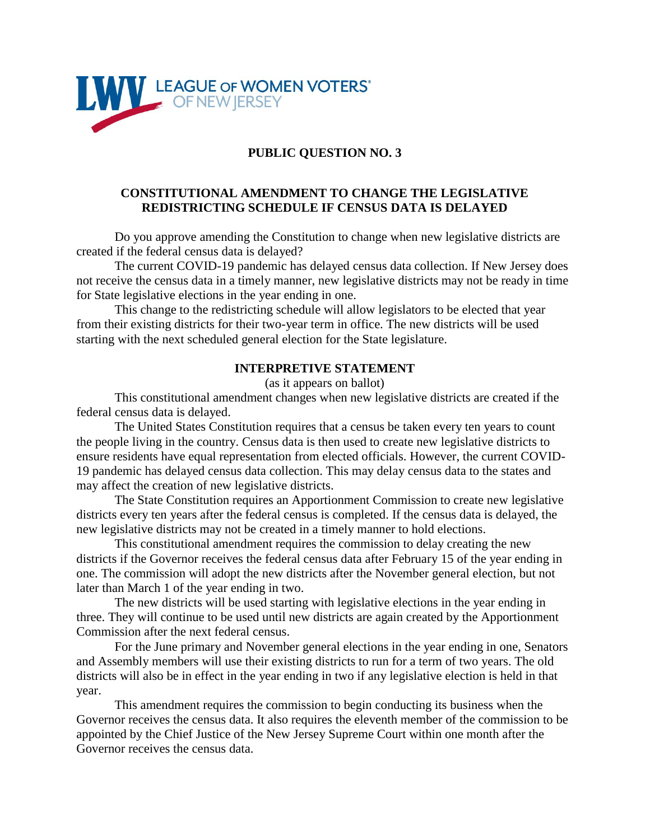

# **PUBLIC QUESTION NO. 3**

## **CONSTITUTIONAL AMENDMENT TO CHANGE THE LEGISLATIVE REDISTRICTING SCHEDULE IF CENSUS DATA IS DELAYED**

Do you approve amending the Constitution to change when new legislative districts are created if the federal census data is delayed?

The current COVID-19 pandemic has delayed census data collection. If New Jersey does not receive the census data in a timely manner, new legislative districts may not be ready in time for State legislative elections in the year ending in one.

This change to the redistricting schedule will allow legislators to be elected that year from their existing districts for their two-year term in office. The new districts will be used starting with the next scheduled general election for the State legislature.

#### **INTERPRETIVE STATEMENT**

(as it appears on ballot)

This constitutional amendment changes when new legislative districts are created if the federal census data is delayed.

The United States Constitution requires that a census be taken every ten years to count the people living in the country. Census data is then used to create new legislative districts to ensure residents have equal representation from elected officials. However, the current COVID-19 pandemic has delayed census data collection. This may delay census data to the states and may affect the creation of new legislative districts.

The State Constitution requires an Apportionment Commission to create new legislative districts every ten years after the federal census is completed. If the census data is delayed, the new legislative districts may not be created in a timely manner to hold elections.

This constitutional amendment requires the commission to delay creating the new districts if the Governor receives the federal census data after February 15 of the year ending in one. The commission will adopt the new districts after the November general election, but not later than March 1 of the year ending in two.

The new districts will be used starting with legislative elections in the year ending in three. They will continue to be used until new districts are again created by the Apportionment Commission after the next federal census.

For the June primary and November general elections in the year ending in one, Senators and Assembly members will use their existing districts to run for a term of two years. The old districts will also be in effect in the year ending in two if any legislative election is held in that year.

This amendment requires the commission to begin conducting its business when the Governor receives the census data. It also requires the eleventh member of the commission to be appointed by the Chief Justice of the New Jersey Supreme Court within one month after the Governor receives the census data.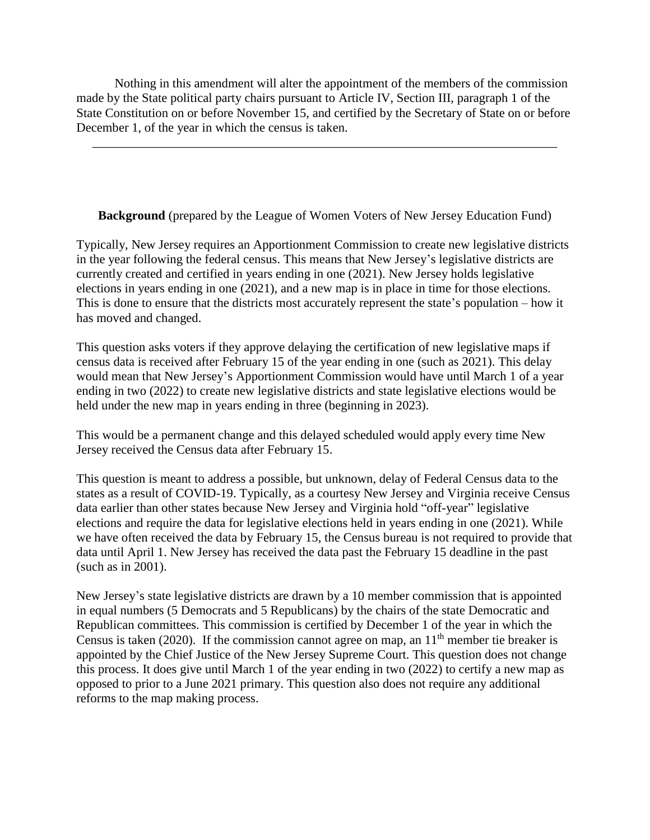Nothing in this amendment will alter the appointment of the members of the commission made by the State political party chairs pursuant to Article IV, Section III, paragraph 1 of the State Constitution on or before November 15, and certified by the Secretary of State on or before December 1, of the year in which the census is taken.

\_\_\_\_\_\_\_\_\_\_\_\_\_\_\_\_\_\_\_\_\_\_\_\_\_\_\_\_\_\_\_\_\_\_\_\_\_\_\_\_\_\_\_\_\_\_\_\_\_\_\_\_\_\_\_\_\_\_\_\_\_\_\_\_\_\_\_\_\_\_\_\_\_

# **Background** (prepared by the League of Women Voters of New Jersey Education Fund)

Typically, New Jersey requires an Apportionment Commission to create new legislative districts in the year following the federal census. This means that New Jersey's legislative districts are currently created and certified in years ending in one (2021). New Jersey holds legislative elections in years ending in one (2021), and a new map is in place in time for those elections. This is done to ensure that the districts most accurately represent the state's population – how it has moved and changed.

This question asks voters if they approve delaying the certification of new legislative maps if census data is received after February 15 of the year ending in one (such as 2021). This delay would mean that New Jersey's Apportionment Commission would have until March 1 of a year ending in two (2022) to create new legislative districts and state legislative elections would be held under the new map in years ending in three (beginning in 2023).

This would be a permanent change and this delayed scheduled would apply every time New Jersey received the Census data after February 15.

This question is meant to address a possible, but unknown, delay of Federal Census data to the states as a result of COVID-19. Typically, as a courtesy New Jersey and Virginia receive Census data earlier than other states because New Jersey and Virginia hold "off-year" legislative elections and require the data for legislative elections held in years ending in one (2021). While we have often received the data by February 15, the Census bureau is not required to provide that data until April 1. New Jersey has received the data past the February 15 deadline in the past (such as in 2001).

New Jersey's state legislative districts are drawn by a 10 member commission that is appointed in equal numbers (5 Democrats and 5 Republicans) by the chairs of the state Democratic and Republican committees. This commission is certified by December 1 of the year in which the Census is taken (2020). If the commission cannot agree on map, an  $11<sup>th</sup>$  member tie breaker is appointed by the Chief Justice of the New Jersey Supreme Court. This question does not change this process. It does give until March 1 of the year ending in two (2022) to certify a new map as opposed to prior to a June 2021 primary. This question also does not require any additional reforms to the map making process.